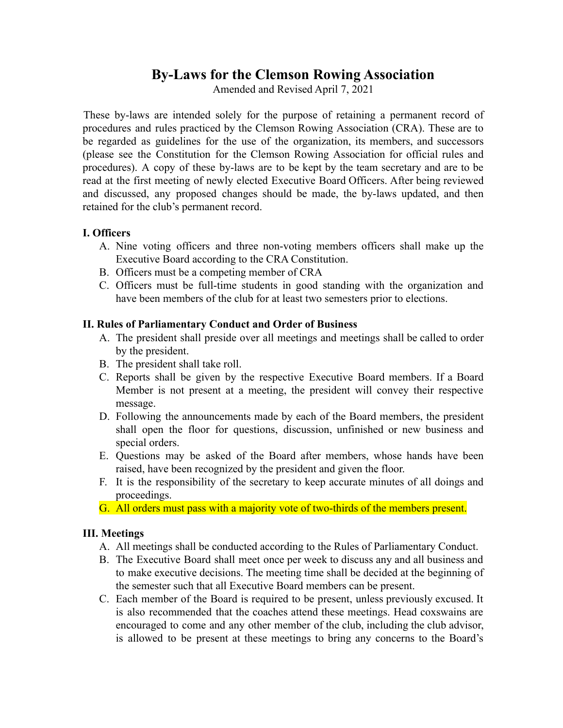# **By-Laws for the Clemson Rowing Association**

Amended and Revised April 7, 2021

These by-laws are intended solely for the purpose of retaining a permanent record of procedures and rules practiced by the Clemson Rowing Association (CRA). These are to be regarded as guidelines for the use of the organization, its members, and successors (please see the Constitution for the Clemson Rowing Association for official rules and procedures). A copy of these by-laws are to be kept by the team secretary and are to be read at the first meeting of newly elected Executive Board Officers. After being reviewed and discussed, any proposed changes should be made, the by-laws updated, and then retained for the club's permanent record.

#### **I. Officers**

- A. Nine voting officers and three non-voting members officers shall make up the Executive Board according to the CRA Constitution.
- B. Officers must be a competing member of CRA
- C. Officers must be full-time students in good standing with the organization and have been members of the club for at least two semesters prior to elections.

#### **II. Rules of Parliamentary Conduct and Order of Business**

- A. The president shall preside over all meetings and meetings shall be called to order by the president.
- B. The president shall take roll.
- C. Reports shall be given by the respective Executive Board members. If a Board Member is not present at a meeting, the president will convey their respective message.
- D. Following the announcements made by each of the Board members, the president shall open the floor for questions, discussion, unfinished or new business and special orders.
- E. Questions may be asked of the Board after members, whose hands have been raised, have been recognized by the president and given the floor.
- F. It is the responsibility of the secretary to keep accurate minutes of all doings and proceedings.
- G. All orders must pass with a majority vote of two-thirds of the members present.

#### **III. Meetings**

- A. All meetings shall be conducted according to the Rules of Parliamentary Conduct.
- B. The Executive Board shall meet once per week to discuss any and all business and to make executive decisions. The meeting time shall be decided at the beginning of the semester such that all Executive Board members can be present.
- C. Each member of the Board is required to be present, unless previously excused. It is also recommended that the coaches attend these meetings. Head coxswains are encouraged to come and any other member of the club, including the club advisor, is allowed to be present at these meetings to bring any concerns to the Board's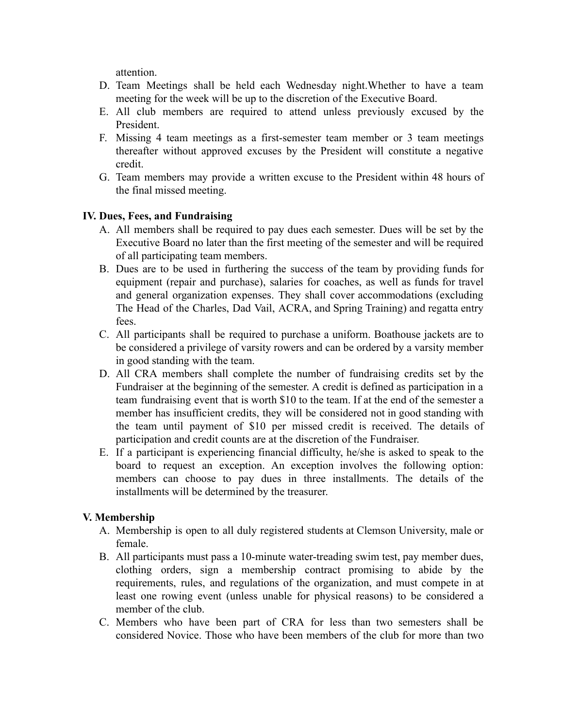attention.

- D. Team Meetings shall be held each Wednesday night.Whether to have a team meeting for the week will be up to the discretion of the Executive Board.
- E. All club members are required to attend unless previously excused by the President.
- F. Missing 4 team meetings as a first-semester team member or 3 team meetings thereafter without approved excuses by the President will constitute a negative credit.
- G. Team members may provide a written excuse to the President within 48 hours of the final missed meeting.

## **IV. Dues, Fees, and Fundraising**

- A. All members shall be required to pay dues each semester. Dues will be set by the Executive Board no later than the first meeting of the semester and will be required of all participating team members.
- B. Dues are to be used in furthering the success of the team by providing funds for equipment (repair and purchase), salaries for coaches, as well as funds for travel and general organization expenses. They shall cover accommodations (excluding The Head of the Charles, Dad Vail, ACRA, and Spring Training) and regatta entry fees.
- C. All participants shall be required to purchase a uniform. Boathouse jackets are to be considered a privilege of varsity rowers and can be ordered by a varsity member in good standing with the team.
- D. All CRA members shall complete the number of fundraising credits set by the Fundraiser at the beginning of the semester. A credit is defined as participation in a team fundraising event that is worth \$10 to the team. If at the end of the semester a member has insufficient credits, they will be considered not in good standing with the team until payment of \$10 per missed credit is received. The details of participation and credit counts are at the discretion of the Fundraiser.
- E. If a participant is experiencing financial difficulty, he/she is asked to speak to the board to request an exception. An exception involves the following option: members can choose to pay dues in three installments. The details of the installments will be determined by the treasurer.

# **V. Membership**

- A. Membership is open to all duly registered students at Clemson University, male or female.
- B. All participants must pass a 10-minute water-treading swim test, pay member dues, clothing orders, sign a membership contract promising to abide by the requirements, rules, and regulations of the organization, and must compete in at least one rowing event (unless unable for physical reasons) to be considered a member of the club.
- C. Members who have been part of CRA for less than two semesters shall be considered Novice. Those who have been members of the club for more than two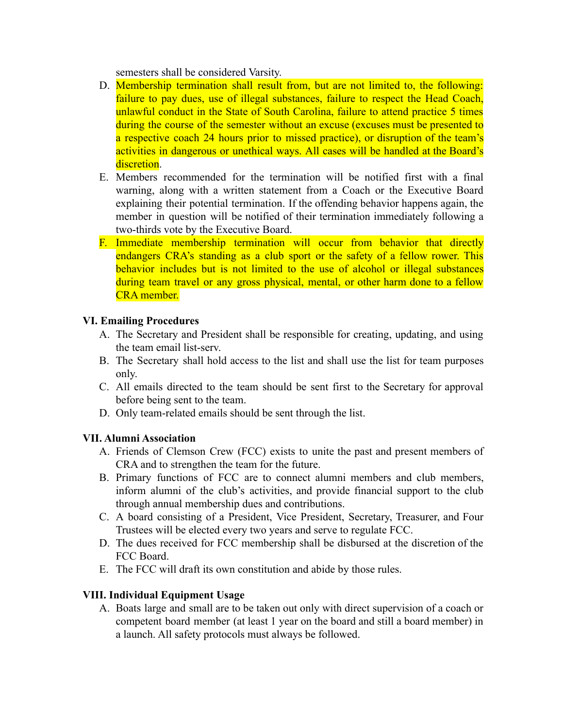semesters shall be considered Varsity.

- D. Membership termination shall result from, but are not limited to, the following: failure to pay dues, use of illegal substances, failure to respect the Head Coach, unlawful conduct in the State of South Carolina, failure to attend practice 5 times during the course of the semester without an excuse (excuses must be presented to a respective coach 24 hours prior to missed practice), or disruption of the team's activities in dangerous or unethical ways. All cases will be handled at the Board's discretion.
- E. Members recommended for the termination will be notified first with a final warning, along with a written statement from a Coach or the Executive Board explaining their potential termination. If the offending behavior happens again, the member in question will be notified of their termination immediately following a two-thirds vote by the Executive Board.
- F. Immediate membership termination will occur from behavior that directly endangers CRA's standing as a club sport or the safety of a fellow rower. This behavior includes but is not limited to the use of alcohol or illegal substances during team travel or any gross physical, mental, or other harm done to a fellow CRA member.

#### **VI. Emailing Procedures**

- A. The Secretary and President shall be responsible for creating, updating, and using the team email list-serv.
- B. The Secretary shall hold access to the list and shall use the list for team purposes only.
- C. All emails directed to the team should be sent first to the Secretary for approval before being sent to the team.
- D. Only team-related emails should be sent through the list.

# **VII. Alumni Association**

- A. Friends of Clemson Crew (FCC) exists to unite the past and present members of CRA and to strengthen the team for the future.
- B. Primary functions of FCC are to connect alumni members and club members, inform alumni of the club's activities, and provide financial support to the club through annual membership dues and contributions.
- C. A board consisting of a President, Vice President, Secretary, Treasurer, and Four Trustees will be elected every two years and serve to regulate FCC.
- D. The dues received for FCC membership shall be disbursed at the discretion of the FCC Board.
- E. The FCC will draft its own constitution and abide by those rules.

# **VIII. Individual Equipment Usage**

A. Boats large and small are to be taken out only with direct supervision of a coach or competent board member (at least 1 year on the board and still a board member) in a launch. All safety protocols must always be followed.